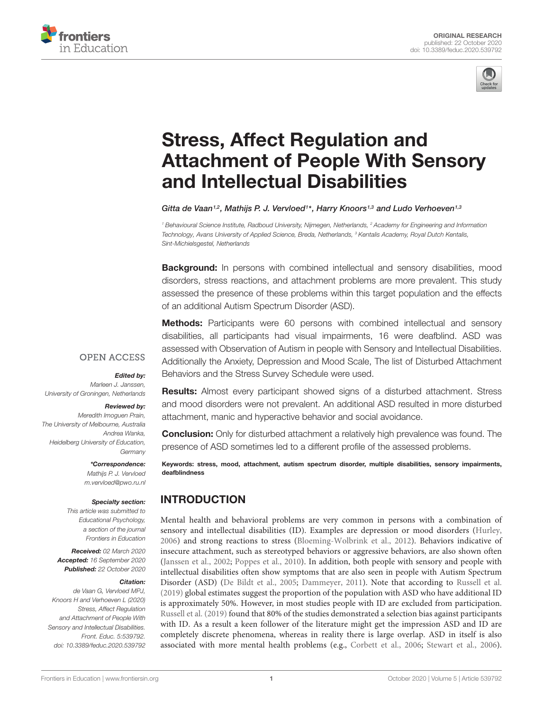



# Stress, Affect Regulation and [Attachment of People With Sensory](https://www.frontiersin.org/articles/10.3389/feduc.2020.539792/full) and Intellectual Disabilities

Gitta de Vaan<sup>1,2</sup>, Mathijs P. J. Vervloed<sup>1\*</sup>, Harry Knoors<sup>1,3</sup> and Ludo Verhoeven<sup>1,3</sup>

<sup>1</sup> Behavioural Science Institute, Radboud University, Nijmegen, Netherlands, <sup>2</sup> Academy for Engineering and Information Technology, Avans University of Applied Science, Breda, Netherlands, <sup>3</sup> Kentalis Academy, Royal Dutch Kentalis, Sint-Michielsgestel, Netherlands

**Background:** In persons with combined intellectual and sensory disabilities, mood disorders, stress reactions, and attachment problems are more prevalent. This study assessed the presence of these problems within this target population and the effects of an additional Autism Spectrum Disorder (ASD).

**Methods:** Participants were 60 persons with combined intellectual and sensory disabilities, all participants had visual impairments, 16 were deafblind. ASD was assessed with Observation of Autism in people with Sensory and Intellectual Disabilities. Additionally the Anxiety, Depression and Mood Scale, The list of Disturbed Attachment Behaviors and the Stress Survey Schedule were used.

# **OPEN ACCESS**

#### Edited by:

Marleen J. Janssen, University of Groningen, Netherlands

#### Reviewed by:

Meredith Imoguen Prain, The University of Melbourne, Australia Andrea Wanka, Heidelberg University of Education, **Germany** 

> \*Correspondence: Mathijs P. J. Vervloed m.vervloed@pwo.ru.nl

#### Specialty section:

This article was submitted to Educational Psychology, a section of the journal Frontiers in Education

Received: 02 March 2020 Accepted: 16 September 2020 Published: 22 October 2020

#### Citation:

de Vaan G, Vervloed MPJ, Knoors H and Verhoeven L (2020) Stress, Affect Regulation and Attachment of People With Sensory and Intellectual Disabilities. Front. Educ. 5:539792. doi: [10.3389/feduc.2020.539792](https://doi.org/10.3389/feduc.2020.539792)

**Results:** Almost every participant showed signs of a disturbed attachment. Stress and mood disorders were not prevalent. An additional ASD resulted in more disturbed attachment, manic and hyperactive behavior and social avoidance.

**Conclusion:** Only for disturbed attachment a relatively high prevalence was found. The presence of ASD sometimes led to a different profile of the assessed problems.

Keywords: stress, mood, attachment, autism spectrum disorder, multiple disabilities, sensory impairments, deafblindness

# INTRODUCTION

Mental health and behavioral problems are very common in persons with a combination of sensory and intellectual disabilities (ID). Examples are depression or mood disorders [\(Hurley,](#page-6-0) [2006\)](#page-6-0) and strong reactions to stress [\(Bloeming-Wolbrink et al.,](#page-6-1) [2012\)](#page-6-1). Behaviors indicative of insecure attachment, such as stereotyped behaviors or aggressive behaviors, are also shown often [\(Janssen et al.,](#page-6-2) [2002;](#page-6-2) [Poppes et al.,](#page-6-3) [2010\)](#page-6-3). In addition, both people with sensory and people with intellectual disabilities often show symptoms that are also seen in people with Autism Spectrum Disorder (ASD) [\(De Bildt et al.,](#page-6-4) [2005;](#page-6-4) [Dammeyer,](#page-6-5) [2011\)](#page-6-5). Note that according to [Russell et al.](#page-6-6) [\(2019\)](#page-6-6) global estimates suggest the proportion of the population with ASD who have additional ID is approximately 50%. However, in most studies people with ID are excluded from participation. [Russell et al.](#page-6-6) [\(2019\)](#page-6-6) found that 80% of the studies demonstrated a selection bias against participants with ID. As a result a keen follower of the literature might get the impression ASD and ID are completely discrete phenomena, whereas in reality there is large overlap. ASD in itself is also associated with more mental health problems (e.g., [Corbett et al.,](#page-6-7) [2006;](#page-6-7) [Stewart et al.,](#page-7-0) [2006\)](#page-7-0).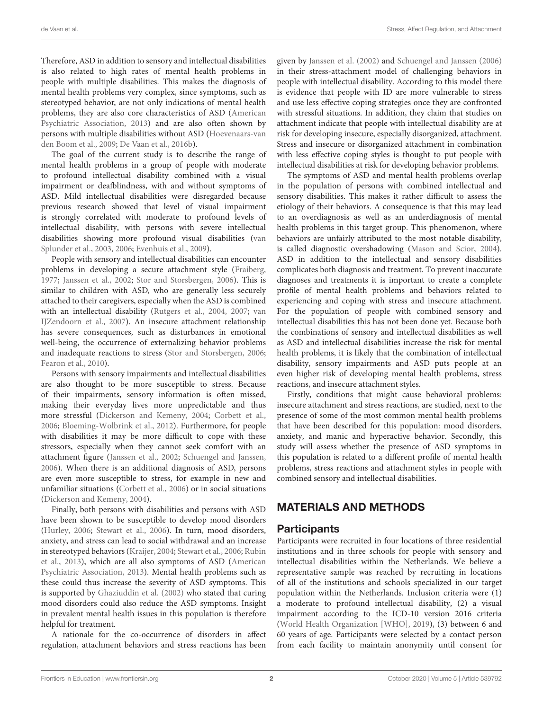Therefore, ASD in addition to sensory and intellectual disabilities is also related to high rates of mental health problems in people with multiple disabilities. This makes the diagnosis of mental health problems very complex, since symptoms, such as stereotyped behavior, are not only indications of mental health problems, they are also core characteristics of ASD [\(American](#page-6-8) [Psychiatric Association,](#page-6-8) [2013\)](#page-6-8) and are also often shown by persons with multiple disabilities without ASD [\(Hoevenaars-van](#page-6-9) [den Boom et al.,](#page-6-9) [2009;](#page-6-9) [De Vaan et al.,](#page-6-10) [2016b\)](#page-6-10).

The goal of the current study is to describe the range of mental health problems in a group of people with moderate to profound intellectual disability combined with a visual impairment or deafblindness, with and without symptoms of ASD. Mild intellectual disabilities were disregarded because previous research showed that level of visual impairment is strongly correlated with moderate to profound levels of intellectual disability, with persons with severe intellectual disabilities showing more profound visual disabilities [\(van](#page-7-1) [Splunder et al.,](#page-7-1) [2003,](#page-7-1) [2006;](#page-7-2) [Evenhuis et al.,](#page-6-11) [2009\)](#page-6-11).

People with sensory and intellectual disabilities can encounter problems in developing a secure attachment style [\(Fraiberg,](#page-6-12) [1977;](#page-6-12) [Janssen et al.,](#page-6-2) [2002;](#page-6-2) [Stor and Storsbergen,](#page-7-3) [2006\)](#page-7-3). This is similar to children with ASD, who are generally less securely attached to their caregivers, especially when the ASD is combined with an intellectual disability [\(Rutgers et al.,](#page-6-13) [2004,](#page-6-13) [2007;](#page-6-14) [van](#page-7-4) [IJZendoorn et al.,](#page-7-4) [2007\)](#page-7-4). An insecure attachment relationship has severe consequences, such as disturbances in emotional well-being, the occurrence of externalizing behavior problems and inadequate reactions to stress [\(Stor and Storsbergen,](#page-7-3) [2006;](#page-7-3) [Fearon et al.,](#page-6-15) [2010\)](#page-6-15).

Persons with sensory impairments and intellectual disabilities are also thought to be more susceptible to stress. Because of their impairments, sensory information is often missed, making their everyday lives more unpredictable and thus more stressful [\(Dickerson and Kemeny,](#page-6-16) [2004;](#page-6-16) [Corbett et al.,](#page-6-7) [2006;](#page-6-7) [Bloeming-Wolbrink et al.,](#page-6-1) [2012\)](#page-6-1). Furthermore, for people with disabilities it may be more difficult to cope with these stressors, especially when they cannot seek comfort with an attachment figure [\(Janssen et al.,](#page-6-2) [2002;](#page-6-2) [Schuengel and Janssen,](#page-7-5) [2006\)](#page-7-5). When there is an additional diagnosis of ASD, persons are even more susceptible to stress, for example in new and unfamiliar situations [\(Corbett et al.,](#page-6-7) [2006\)](#page-6-7) or in social situations [\(Dickerson and Kemeny,](#page-6-16) [2004\)](#page-6-16).

Finally, both persons with disabilities and persons with ASD have been shown to be susceptible to develop mood disorders [\(Hurley,](#page-6-0) [2006;](#page-6-0) [Stewart et al.,](#page-7-0) [2006\)](#page-7-0). In turn, mood disorders, anxiety, and stress can lead to social withdrawal and an increase in stereotyped behaviors [\(Kraijer,](#page-6-17) [2004;](#page-6-17) [Stewart et al.,](#page-7-0) [2006;](#page-7-0) [Rubin](#page-6-18) [et al.,](#page-6-18) [2013\)](#page-6-18), which are all also symptoms of ASD [\(American](#page-6-8) [Psychiatric Association,](#page-6-8) [2013\)](#page-6-8). Mental health problems such as these could thus increase the severity of ASD symptoms. This is supported by [Ghaziuddin et al.](#page-6-19) [\(2002\)](#page-6-19) who stated that curing mood disorders could also reduce the ASD symptoms. Insight in prevalent mental health issues in this population is therefore helpful for treatment.

A rationale for the co-occurrence of disorders in affect regulation, attachment behaviors and stress reactions has been

given by [Janssen et al.](#page-6-2) [\(2002\)](#page-6-2) and [Schuengel and Janssen](#page-7-5) [\(2006\)](#page-7-5) in their stress-attachment model of challenging behaviors in people with intellectual disability. According to this model there is evidence that people with ID are more vulnerable to stress and use less effective coping strategies once they are confronted with stressful situations. In addition, they claim that studies on attachment indicate that people with intellectual disability are at risk for developing insecure, especially disorganized, attachment. Stress and insecure or disorganized attachment in combination with less effective coping styles is thought to put people with intellectual disabilities at risk for developing behavior problems.

The symptoms of ASD and mental health problems overlap in the population of persons with combined intellectual and sensory disabilities. This makes it rather difficult to assess the etiology of their behaviors. A consequence is that this may lead to an overdiagnosis as well as an underdiagnosis of mental health problems in this target group. This phenomenon, where behaviors are unfairly attributed to the most notable disability, is called diagnostic overshadowing [\(Mason and Scior,](#page-6-20) [2004\)](#page-6-20). ASD in addition to the intellectual and sensory disabilities complicates both diagnosis and treatment. To prevent inaccurate diagnoses and treatments it is important to create a complete profile of mental health problems and behaviors related to experiencing and coping with stress and insecure attachment. For the population of people with combined sensory and intellectual disabilities this has not been done yet. Because both the combinations of sensory and intellectual disabilities as well as ASD and intellectual disabilities increase the risk for mental health problems, it is likely that the combination of intellectual disability, sensory impairments and ASD puts people at an even higher risk of developing mental health problems, stress reactions, and insecure attachment styles.

Firstly, conditions that might cause behavioral problems: insecure attachment and stress reactions, are studied, next to the presence of some of the most common mental health problems that have been described for this population: mood disorders, anxiety, and manic and hyperactive behavior. Secondly, this study will assess whether the presence of ASD symptoms in this population is related to a different profile of mental health problems, stress reactions and attachment styles in people with combined sensory and intellectual disabilities.

# MATERIALS AND METHODS

## **Participants**

Participants were recruited in four locations of three residential institutions and in three schools for people with sensory and intellectual disabilities within the Netherlands. We believe a representative sample was reached by recruiting in locations of all of the institutions and schools specialized in our target population within the Netherlands. Inclusion criteria were (1) a moderate to profound intellectual disability, (2) a visual impairment according to the ICD-10 version 2016 criteria [\(World Health Organization \[WHO\],](#page-7-6) [2019\)](#page-7-6), (3) between 6 and 60 years of age. Participants were selected by a contact person from each facility to maintain anonymity until consent for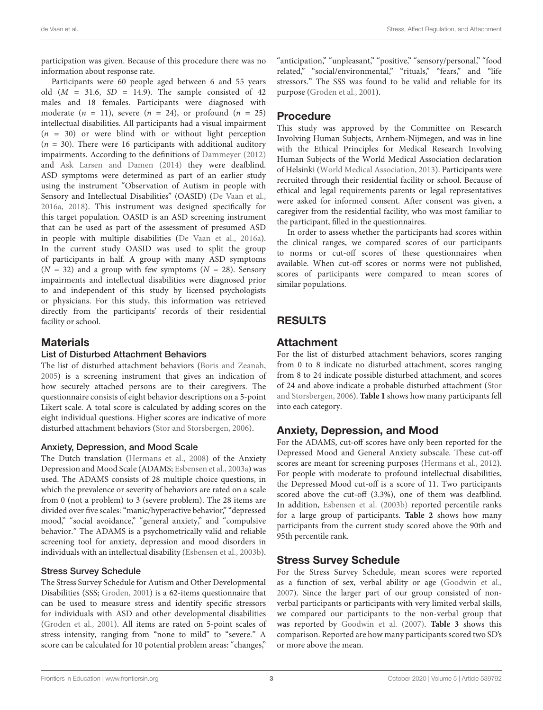participation was given. Because of this procedure there was no information about response rate.

Participants were 60 people aged between 6 and 55 years old  $(M = 31.6, SD = 14.9)$ . The sample consisted of 42 males and 18 females. Participants were diagnosed with moderate  $(n = 11)$ , severe  $(n = 24)$ , or profound  $(n = 25)$ intellectual disabilities. All participants had a visual impairment  $(n = 30)$  or were blind with or without light perception  $(n = 30)$ . There were 16 participants with additional auditory impairments. According to the definitions of [Dammeyer](#page-6-21) [\(2012\)](#page-6-21) and [Ask Larsen and Damen](#page-6-22) [\(2014\)](#page-6-22) they were deafblind. ASD symptoms were determined as part of an earlier study using the instrument "Observation of Autism in people with Sensory and Intellectual Disabilities" (OASID) [\(De Vaan et al.,](#page-6-23) [2016a,](#page-6-23) [2018\)](#page-6-24). This instrument was designed specifically for this target population. OASID is an ASD screening instrument that can be used as part of the assessment of presumed ASD in people with multiple disabilities [\(De Vaan et al.,](#page-6-23) [2016a\)](#page-6-23). In the current study OASID was used to split the group of participants in half. A group with many ASD symptoms  $(N = 32)$  and a group with few symptoms  $(N = 28)$ . Sensory impairments and intellectual disabilities were diagnosed prior to and independent of this study by licensed psychologists or physicians. For this study, this information was retrieved directly from the participants' records of their residential facility or school.

## **Materials**

### List of Disturbed Attachment Behaviors

The list of disturbed attachment behaviors [\(Boris and Zeanah,](#page-6-25) [2005\)](#page-6-25) is a screening instrument that gives an indication of how securely attached persons are to their caregivers. The questionnaire consists of eight behavior descriptions on a 5-point Likert scale. A total score is calculated by adding scores on the eight individual questions. Higher scores are indicative of more disturbed attachment behaviors [\(Stor and Storsbergen,](#page-7-3) [2006\)](#page-7-3).

### Anxiety, Depression, and Mood Scale

The Dutch translation [\(Hermans et al.,](#page-6-26) [2008\)](#page-6-26) of the Anxiety Depression and Mood Scale (ADAMS; [Esbensen et al.,](#page-6-27) [2003a\)](#page-6-27) was used. The ADAMS consists of 28 multiple choice questions, in which the prevalence or severity of behaviors are rated on a scale from 0 (not a problem) to 3 (severe problem). The 28 items are divided over five scales: "manic/hyperactive behavior," "depressed mood," "social avoidance," "general anxiety," and "compulsive behavior." The ADAMS is a psychometrically valid and reliable screening tool for anxiety, depression and mood disorders in individuals with an intellectual disability [\(Esbensen et al.,](#page-6-28) [2003b\)](#page-6-28).

### Stress Survey Schedule

The Stress Survey Schedule for Autism and Other Developmental Disabilities (SSS; [Groden,](#page-6-29) [2001\)](#page-6-29) is a 62-items questionnaire that can be used to measure stress and identify specific stressors for individuals with ASD and other developmental disabilities [\(Groden et al.,](#page-6-30) [2001\)](#page-6-30). All items are rated on 5-point scales of stress intensity, ranging from "none to mild" to "severe." A score can be calculated for 10 potential problem areas: "changes,"

"anticipation," "unpleasant," "positive," "sensory/personal," "food related," "social/environmental," "rituals," "fears," and "life stressors." The SSS was found to be valid and reliable for its purpose [\(Groden et al.,](#page-6-30) [2001\)](#page-6-30).

### Procedure

This study was approved by the Committee on Research Involving Human Subjects, Arnhem-Nijmegen, and was in line with the Ethical Principles for Medical Research Involving Human Subjects of the World Medical Association declaration of Helsinki [\(World Medical Association,](#page-7-7) [2013\)](#page-7-7). Participants were recruited through their residential facility or school. Because of ethical and legal requirements parents or legal representatives were asked for informed consent. After consent was given, a caregiver from the residential facility, who was most familiar to the participant, filled in the questionnaires.

In order to assess whether the participants had scores within the clinical ranges, we compared scores of our participants to norms or cut-off scores of these questionnaires when available. When cut-off scores or norms were not published, scores of participants were compared to mean scores of similar populations.

# RESULTS

### Attachment

For the list of disturbed attachment behaviors, scores ranging from 0 to 8 indicate no disturbed attachment, scores ranging from 8 to 24 indicate possible disturbed attachment, and scores of 24 and above indicate a probable disturbed attachment [\(Stor](#page-7-3) [and Storsbergen,](#page-7-3) [2006\)](#page-7-3). **[Table 1](#page-3-0)** shows how many participants fell into each category.

## Anxiety, Depression, and Mood

For the ADAMS, cut-off scores have only been reported for the Depressed Mood and General Anxiety subscale. These cut-off scores are meant for screening purposes [\(Hermans et al.,](#page-6-31) [2012\)](#page-6-31). For people with moderate to profound intellectual disabilities, the Depressed Mood cut-off is a score of 11. Two participants scored above the cut-off (3.3%), one of them was deafblind. In addition, [Esbensen et al.](#page-6-28) [\(2003b\)](#page-6-28) reported percentile ranks for a large group of participants. **[Table 2](#page-3-1)** shows how many participants from the current study scored above the 90th and 95th percentile rank.

## Stress Survey Schedule

For the Stress Survey Schedule, mean scores were reported as a function of sex, verbal ability or age [\(Goodwin et al.,](#page-6-32) [2007\)](#page-6-32). Since the larger part of our group consisted of nonverbal participants or participants with very limited verbal skills, we compared our participants to the non-verbal group that was reported by [Goodwin et al.](#page-6-32) [\(2007\)](#page-6-32). **[Table 3](#page-3-2)** shows this comparison. Reported are how many participants scored two SD's or more above the mean.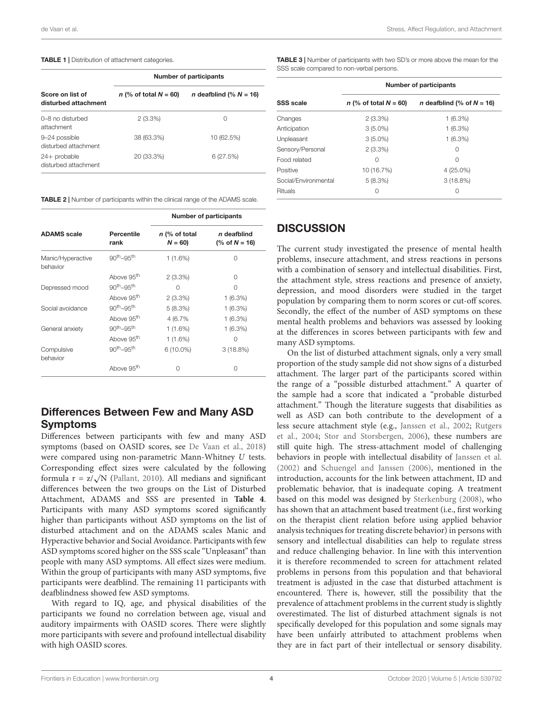#### <span id="page-3-0"></span>TABLE 1 | Distribution of attachment categories.

|                                          | <b>Number of participants</b> |                                  |  |  |
|------------------------------------------|-------------------------------|----------------------------------|--|--|
| Score on list of<br>disturbed attachment | n (% of total $N = 60$ )      | <i>n</i> deafblind (% $N = 16$ ) |  |  |
| 0-8 no disturbed<br>attachment           | $2(3.3\%)$                    | 0                                |  |  |
| 9-24 possible<br>disturbed attachment    | 38 (63.3%)                    | 10 (62.5%)                       |  |  |
| $24+$ probable<br>disturbed attachment   | 20 (33.3%)                    | 6(27.5%)                         |  |  |

<span id="page-3-1"></span>TABLE 2 | Number of participants within the clinical range of the ADAMS scale.

|                               |                        | <b>Number of participants</b> |                                 |  |
|-------------------------------|------------------------|-------------------------------|---------------------------------|--|
| <b>ADAMS</b> scale            | Percentile<br>rank     | $n$ (% of total<br>$N = 60$   | n deafblind<br>(% of $N = 16$ ) |  |
| Manic/Hyperactive<br>behavior | $90th-95th$            | $1(1.6\%)$                    | O                               |  |
|                               | Above 95 <sup>th</sup> | $2(3.3\%)$                    | $\cap$                          |  |
| Depressed mood                | $90th-95th$            | Ω                             | ∩                               |  |
|                               | Above 95 <sup>th</sup> | $2(3.3\%)$                    | $1(6.3\%)$                      |  |
| Social avoidance              | $90th-95th$            | 5(8.3%)                       | $1(6.3\%)$                      |  |
|                               | Above 95 <sup>th</sup> | 4 (6.7%)                      | $1(6.3\%)$                      |  |
| General anxiety               | $90th-95th$            | 1 (1.6%)                      | $1(6.3\%)$                      |  |
|                               | Above 95 <sup>th</sup> | 1(1.6%)                       | O                               |  |
| Compulsive<br>behavior        | $90th-95th$            | $6(10.0\%)$                   | 3(18.8%)                        |  |
|                               | Above 95 <sup>th</sup> | Ω                             | ∩                               |  |

# Differences Between Few and Many ASD Symptoms

Differences between participants with few and many ASD symptoms (based on OASID scores, see [De Vaan et al.,](#page-6-24) [2018\)](#page-6-24) were compared using non-parametric Mann-Whitney U tests. Corresponding effect sizes were calculated by the following  $\text{Corresponding effect sizes were calculated by the following formula } \mathbf{r} = \mathbf{z}/\sqrt{N}$  [\(Pallant,](#page-6-33) [2010\)](#page-6-33). All medians and significant differences between the two groups on the List of Disturbed Attachment, ADAMS and SSS are presented in **[Table 4](#page-4-0)**. Participants with many ASD symptoms scored significantly higher than participants without ASD symptoms on the list of disturbed attachment and on the ADAMS scales Manic and Hyperactive behavior and Social Avoidance. Participants with few ASD symptoms scored higher on the SSS scale "Unpleasant" than people with many ASD symptoms. All effect sizes were medium. Within the group of participants with many ASD symptoms, five participants were deafblind. The remaining 11 participants with deafblindness showed few ASD symptoms.

With regard to IQ, age, and physical disabilities of the participants we found no correlation between age, visual and auditory impairments with OASID scores. There were slightly more participants with severe and profound intellectual disability with high OASID scores.

<span id="page-3-2"></span>TABLE 3 | Number of participants with two SD's or more above the mean for the SSS scale compared to non-verbal persons.

|                      | <b>Number of participants</b> |                                     |  |  |
|----------------------|-------------------------------|-------------------------------------|--|--|
| <b>SSS</b> scale     | n (% of total $N = 60$ )      | <i>n</i> deafblind (% of $N = 16$ ) |  |  |
| Changes              | $2(3.3\%)$                    | 1(6.3%)                             |  |  |
| Anticipation         | $3(5.0\%)$                    | 1(6.3%)                             |  |  |
| Unpleasant           | $3(5.0\%)$                    | 1(6.3%)                             |  |  |
| Sensory/Personal     | $2(3.3\%)$                    | 0                                   |  |  |
| Food related         | Ω                             | Ω                                   |  |  |
| Positive             | 10 (16.7%)                    | $4(25.0\%)$                         |  |  |
| Social/Environmental | 5(8.3%)                       | $3(18.8\%)$                         |  |  |
| <b>Rituals</b>       | Ω                             | Ω                                   |  |  |

## **DISCUSSION**

The current study investigated the presence of mental health problems, insecure attachment, and stress reactions in persons with a combination of sensory and intellectual disabilities. First, the attachment style, stress reactions and presence of anxiety, depression, and mood disorders were studied in the target population by comparing them to norm scores or cut-off scores. Secondly, the effect of the number of ASD symptoms on these mental health problems and behaviors was assessed by looking at the differences in scores between participants with few and many ASD symptoms.

On the list of disturbed attachment signals, only a very small proportion of the study sample did not show signs of a disturbed attachment. The larger part of the participants scored within the range of a "possible disturbed attachment." A quarter of the sample had a score that indicated a "probable disturbed attachment." Though the literature suggests that disabilities as well as ASD can both contribute to the development of a less secure attachment style (e.g., [Janssen et al.,](#page-6-2) [2002;](#page-6-2) [Rutgers](#page-6-13) [et al.,](#page-6-13) [2004;](#page-6-13) [Stor and Storsbergen,](#page-7-3) [2006\)](#page-7-3), these numbers are still quite high. The stress-attachment model of challenging behaviors in people with intellectual disability of [Janssen et al.](#page-6-2) [\(2002\)](#page-6-2) and [Schuengel and Janssen](#page-7-5) [\(2006\)](#page-7-5), mentioned in the introduction, accounts for the link between attachment, ID and problematic behavior, that is inadequate coping. A treatment based on this model was designed by [Sterkenburg](#page-7-8) [\(2008\)](#page-7-8), who has shown that an attachment based treatment (i.e., first working on the therapist client relation before using applied behavior analysis techniques for treating discrete behavior) in persons with sensory and intellectual disabilities can help to regulate stress and reduce challenging behavior. In line with this intervention it is therefore recommended to screen for attachment related problems in persons from this population and that behavioral treatment is adjusted in the case that disturbed attachment is encountered. There is, however, still the possibility that the prevalence of attachment problems in the current study is slightly overestimated. The list of disturbed attachment signals is not specifically developed for this population and some signals may have been unfairly attributed to attachment problems when they are in fact part of their intellectual or sensory disability.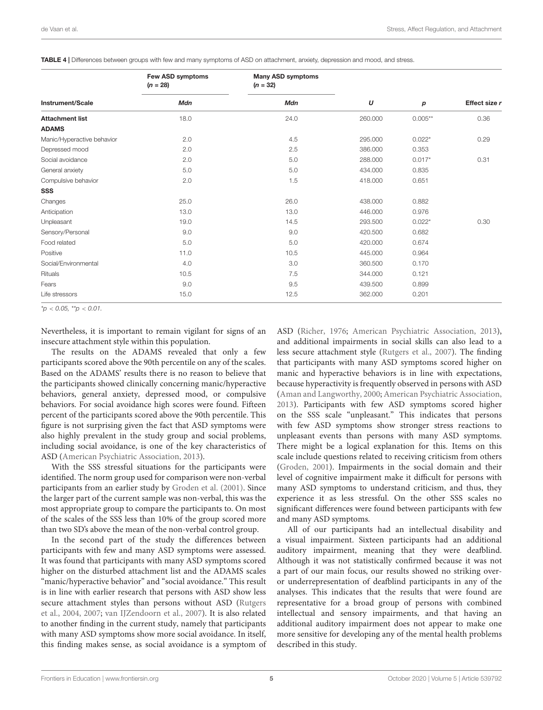| Instrument/Scale           | Few ASD symptoms<br>$(n = 28)$ | <b>Many ASD symptoms</b><br>$(n = 32)$ | U       | p         | Effect size r |
|----------------------------|--------------------------------|----------------------------------------|---------|-----------|---------------|
|                            | Mdn                            | Mdn                                    |         |           |               |
| <b>Attachment list</b>     | 18.0                           | 24.0                                   | 260.000 | $0.005**$ | 0.36          |
| <b>ADAMS</b>               |                                |                                        |         |           |               |
| Manic/Hyperactive behavior | 2.0                            | 4.5                                    | 295.000 | $0.022*$  | 0.29          |
| Depressed mood             | 2.0                            | 2.5                                    | 386.000 | 0.353     |               |
| Social avoidance           | 2.0                            | 5.0                                    | 288.000 | $0.017*$  | 0.31          |
| General anxiety            | 5.0                            | 5.0                                    | 434.000 | 0.835     |               |
| Compulsive behavior        | 2.0                            | 1.5                                    | 418.000 | 0.651     |               |
| <b>SSS</b>                 |                                |                                        |         |           |               |
| Changes                    | 25.0                           | 26.0                                   | 438.000 | 0.882     |               |
| Anticipation               | 13.0                           | 13.0                                   | 446.000 | 0.976     |               |
| Unpleasant                 | 19.0                           | 14.5                                   | 293.500 | $0.022*$  | 0.30          |
| Sensory/Personal           | 9.0                            | 9.0                                    | 420.500 | 0.682     |               |
| Food related               | 5.0                            | 5.0                                    | 420.000 | 0.674     |               |
| Positive                   | 11.0                           | 10.5                                   | 445.000 | 0.964     |               |
| Social/Environmental       | 4.0                            | 3.0                                    | 360.500 | 0.170     |               |
| Rituals                    | 10.5                           | 7.5                                    | 344.000 | 0.121     |               |
| Fears                      | 9.0                            | 9.5                                    | 439.500 | 0.899     |               |
| Life stressors             | 15.0                           | 12.5                                   | 362.000 | 0.201     |               |

<span id="page-4-0"></span>TABLE 4 | Differences between groups with few and many symptoms of ASD on attachment, anxiety, depression and mood, and stress.

 $*_{\mathcal{D}}$  < 0.05,  $*_{\mathcal{D}}$  < 0.01.

Nevertheless, it is important to remain vigilant for signs of an insecure attachment style within this population.

The results on the ADAMS revealed that only a few participants scored above the 90th percentile on any of the scales. Based on the ADAMS' results there is no reason to believe that the participants showed clinically concerning manic/hyperactive behaviors, general anxiety, depressed mood, or compulsive behaviors. For social avoidance high scores were found. Fifteen percent of the participants scored above the 90th percentile. This figure is not surprising given the fact that ASD symptoms were also highly prevalent in the study group and social problems, including social avoidance, is one of the key characteristics of ASD [\(American Psychiatric Association,](#page-6-8) [2013\)](#page-6-8).

With the SSS stressful situations for the participants were identified. The norm group used for comparison were non-verbal participants from an earlier study by [Groden et al.](#page-6-30) [\(2001\)](#page-6-30). Since the larger part of the current sample was non-verbal, this was the most appropriate group to compare the participants to. On most of the scales of the SSS less than 10% of the group scored more than two SD's above the mean of the non-verbal control group.

In the second part of the study the differences between participants with few and many ASD symptoms were assessed. It was found that participants with many ASD symptoms scored higher on the disturbed attachment list and the ADAMS scales "manic/hyperactive behavior" and "social avoidance." This result is in line with earlier research that persons with ASD show less secure attachment styles than persons without ASD [\(Rutgers](#page-6-13) [et al.,](#page-6-13) [2004,](#page-6-13) [2007;](#page-6-14) [van IJZendoorn et al.,](#page-7-4) [2007\)](#page-7-4). It is also related to another finding in the current study, namely that participants with many ASD symptoms show more social avoidance. In itself, this finding makes sense, as social avoidance is a symptom of ASD [\(Richer,](#page-6-34) [1976;](#page-6-34) [American Psychiatric Association,](#page-6-8) [2013\)](#page-6-8), and additional impairments in social skills can also lead to a less secure attachment style [\(Rutgers et al.,](#page-6-14) [2007\)](#page-6-14). The finding that participants with many ASD symptoms scored higher on manic and hyperactive behaviors is in line with expectations, because hyperactivity is frequently observed in persons with ASD [\(Aman and Langworthy,](#page-6-35) [2000;](#page-6-35) [American Psychiatric Association,](#page-6-8) [2013\)](#page-6-8). Participants with few ASD symptoms scored higher on the SSS scale "unpleasant." This indicates that persons with few ASD symptoms show stronger stress reactions to unpleasant events than persons with many ASD symptoms. There might be a logical explanation for this. Items on this scale include questions related to receiving criticism from others [\(Groden,](#page-6-29) [2001\)](#page-6-29). Impairments in the social domain and their level of cognitive impairment make it difficult for persons with many ASD symptoms to understand criticism, and thus, they experience it as less stressful. On the other SSS scales no significant differences were found between participants with few and many ASD symptoms.

All of our participants had an intellectual disability and a visual impairment. Sixteen participants had an additional auditory impairment, meaning that they were deafblind. Although it was not statistically confirmed because it was not a part of our main focus, our results showed no striking overor underrepresentation of deafblind participants in any of the analyses. This indicates that the results that were found are representative for a broad group of persons with combined intellectual and sensory impairments, and that having an additional auditory impairment does not appear to make one more sensitive for developing any of the mental health problems described in this study.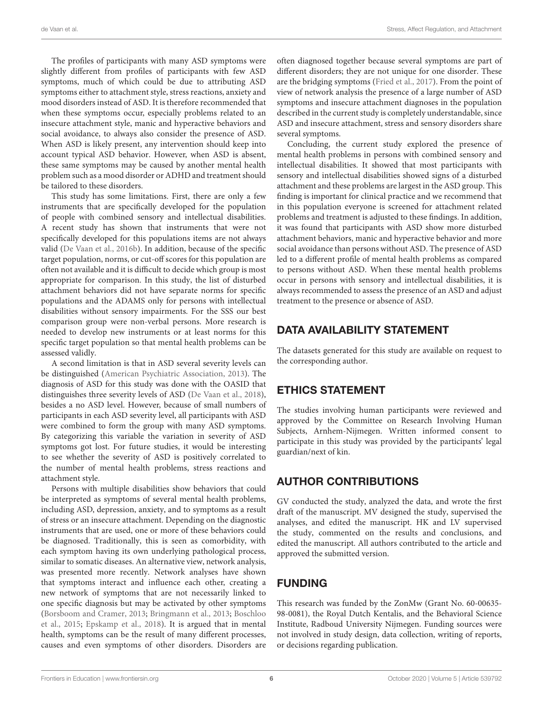The profiles of participants with many ASD symptoms were slightly different from profiles of participants with few ASD symptoms, much of which could be due to attributing ASD symptoms either to attachment style, stress reactions, anxiety and mood disorders instead of ASD. It is therefore recommended that when these symptoms occur, especially problems related to an insecure attachment style, manic and hyperactive behaviors and social avoidance, to always also consider the presence of ASD. When ASD is likely present, any intervention should keep into account typical ASD behavior. However, when ASD is absent, these same symptoms may be caused by another mental health problem such as a mood disorder or ADHD and treatment should be tailored to these disorders.

This study has some limitations. First, there are only a few instruments that are specifically developed for the population of people with combined sensory and intellectual disabilities. A recent study has shown that instruments that were not specifically developed for this populations items are not always valid [\(De Vaan et al.,](#page-6-10) [2016b\)](#page-6-10). In addition, because of the specific target population, norms, or cut-off scores for this population are often not available and it is difficult to decide which group is most appropriate for comparison. In this study, the list of disturbed attachment behaviors did not have separate norms for specific populations and the ADAMS only for persons with intellectual disabilities without sensory impairments. For the SSS our best comparison group were non-verbal persons. More research is needed to develop new instruments or at least norms for this specific target population so that mental health problems can be assessed validly.

A second limitation is that in ASD several severity levels can be distinguished [\(American Psychiatric Association,](#page-6-8) [2013\)](#page-6-8). The diagnosis of ASD for this study was done with the OASID that distinguishes three severity levels of ASD [\(De Vaan et al.,](#page-6-24) [2018\)](#page-6-24), besides a no ASD level. However, because of small numbers of participants in each ASD severity level, all participants with ASD were combined to form the group with many ASD symptoms. By categorizing this variable the variation in severity of ASD symptoms got lost. For future studies, it would be interesting to see whether the severity of ASD is positively correlated to the number of mental health problems, stress reactions and attachment style.

Persons with multiple disabilities show behaviors that could be interpreted as symptoms of several mental health problems, including ASD, depression, anxiety, and to symptoms as a result of stress or an insecure attachment. Depending on the diagnostic instruments that are used, one or more of these behaviors could be diagnosed. Traditionally, this is seen as comorbidity, with each symptom having its own underlying pathological process, similar to somatic diseases. An alternative view, network analysis, was presented more recently. Network analyses have shown that symptoms interact and influence each other, creating a new network of symptoms that are not necessarily linked to one specific diagnosis but may be activated by other symptoms [\(Borsboom and Cramer,](#page-6-36) [2013;](#page-6-36) [Bringmann et al.,](#page-6-37) [2013;](#page-6-37) [Boschloo](#page-6-38) [et al.,](#page-6-38) [2015;](#page-6-38) [Epskamp et al.,](#page-6-39) [2018\)](#page-6-39). It is argued that in mental health, symptoms can be the result of many different processes, causes and even symptoms of other disorders. Disorders are

often diagnosed together because several symptoms are part of different disorders; they are not unique for one disorder. These are the bridging symptoms [\(Fried et al.,](#page-6-40) [2017\)](#page-6-40). From the point of view of network analysis the presence of a large number of ASD symptoms and insecure attachment diagnoses in the population described in the current study is completely understandable, since ASD and insecure attachment, stress and sensory disorders share several symptoms.

Concluding, the current study explored the presence of mental health problems in persons with combined sensory and intellectual disabilities. It showed that most participants with sensory and intellectual disabilities showed signs of a disturbed attachment and these problems are largest in the ASD group. This finding is important for clinical practice and we recommend that in this population everyone is screened for attachment related problems and treatment is adjusted to these findings. In addition, it was found that participants with ASD show more disturbed attachment behaviors, manic and hyperactive behavior and more social avoidance than persons without ASD. The presence of ASD led to a different profile of mental health problems as compared to persons without ASD. When these mental health problems occur in persons with sensory and intellectual disabilities, it is always recommended to assess the presence of an ASD and adjust treatment to the presence or absence of ASD.

# DATA AVAILABILITY STATEMENT

The datasets generated for this study are available on request to the corresponding author.

# ETHICS STATEMENT

The studies involving human participants were reviewed and approved by the Committee on Research Involving Human Subjects, Arnhem-Nijmegen. Written informed consent to participate in this study was provided by the participants' legal guardian/next of kin.

# AUTHOR CONTRIBUTIONS

GV conducted the study, analyzed the data, and wrote the first draft of the manuscript. MV designed the study, supervised the analyses, and edited the manuscript. HK and LV supervised the study, commented on the results and conclusions, and edited the manuscript. All authors contributed to the article and approved the submitted version.

# FUNDING

This research was funded by the ZonMw (Grant No. 60-00635- 98-0081), the Royal Dutch Kentalis, and the Behavioral Science Institute, Radboud University Nijmegen. Funding sources were not involved in study design, data collection, writing of reports, or decisions regarding publication.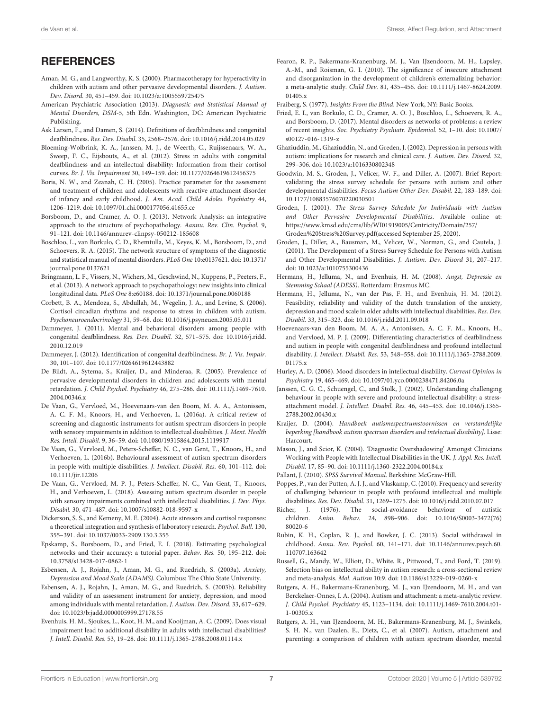# **REFERENCES**

- <span id="page-6-35"></span>Aman, M. G., and Langworthy, K. S. (2000). Pharmacotherapy for hyperactivity in children with autism and other pervasive developmental disorders. J. Autism. Dev. Disord. 30, 451–459. [doi: 10.1023/a:1005559725475](https://doi.org/10.1023/a:1005559725475)
- <span id="page-6-8"></span>American Psychiatric Association (2013). Diagnostic and Statistical Manual of Mental Disorders, DSM-5, 5th Edn. Washington, DC: American Psychiatric Publishing.
- <span id="page-6-22"></span>Ask Larsen, F., and Damen, S. (2014). Definitions of deafblindness and congenital deafblindness. Res. Dev. Disabil. 35, 2568–2576. [doi: 10.1016/j.ridd.2014.05.029](https://doi.org/10.1016/j.ridd.2014.05.029)
- <span id="page-6-1"></span>Bloeming-Wolbrink, K. A., Janssen, M. J., de Weerth, C., Ruijssenaars, W. A., Sweep, F. C., Eijsbouts, A., et al. (2012). Stress in adults with congenital deafblindness and an intellectual disability: Information from their cortisol curves. Br. J. Vis. Impairment 30, 149–159. [doi: 10.1177/0264619612456375](https://doi.org/10.1177/0264619612456375)
- <span id="page-6-25"></span>Boris, N. W., and Zeanah, C. H. (2005). Practice parameter for the assessment and treatment of children and adolescents with reactive attachment disorder of infancy and early childhood. J. Am. Acad. Child Adoles. Psychiatry 44, 1206–1219. [doi: 10.1097/01.chi.0000177056.41655.ce](https://doi.org/10.1097/01.chi.0000177056.41655.ce)
- <span id="page-6-36"></span>Borsboom, D., and Cramer, A. O. J. (2013). Network Analysis: an integrative approach to the structure of psychopathology. Aannu. Rev. Clin. Psychol. 9, 91–121. [doi: 10.1146/annurev-clinpsy-050212-185608](https://doi.org/10.1146/annurev-clinpsy-050212-185608)
- <span id="page-6-38"></span>Boschloo, L., van Borkulo, C. D., Rhemtulla, M., Keyes, K. M., Borsboom, D., and Schoevers, R. A. (2015). The network structure of symptoms of the diagnostic and statistical manual of mental disorders. PLoS One 10:e0137621. [doi: 10.1371/](https://doi.org/10.1371/journal.pone.0137621) [journal.pone.0137621](https://doi.org/10.1371/journal.pone.0137621)
- <span id="page-6-37"></span>Bringmann, L. F., Vissers, N., Wichers, M., Geschwind, N., Kuppens, P., Peeters, F., et al. (2013). A network approach to psychopathology: new insights into clinical longitudinal data. PLoS One 8:e60188. [doi: 10.1371/journal.pone.0060188](https://doi.org/10.1371/journal.pone.0060188)
- <span id="page-6-7"></span>Corbett, B. A., Mendoza, S., Abdullah, M., Wegelin, J. A., and Levine, S. (2006). Cortisol circadian rhythms and response to stress in children with autism. Psychoneuroendocrinology 31, 59–68. [doi: 10.1016/j.psyneuen.2005.05.011](https://doi.org/10.1016/j.psyneuen.2005.05.011)
- <span id="page-6-5"></span>Dammeyer, J. (2011). Mental and behavioral disorders among people with congenital deafblindness. Res. Dev. Disabil. 32, 571–575. [doi: 10.1016/j.ridd.](https://doi.org/10.1016/j.ridd.2010.12.019) [2010.12.019](https://doi.org/10.1016/j.ridd.2010.12.019)
- <span id="page-6-21"></span>Dammeyer, J. (2012). Identification of congenital deafblindness. Br. J. Vis. Impair. 30, 101–107. [doi: 10.1177/0264619612443882](https://doi.org/10.1177/0264619612443882)
- <span id="page-6-4"></span>De Bildt, A., Sytema, S., Kraijer, D., and Minderaa, R. (2005). Prevalence of pervasive developmental disorders in children and adolescents with mental retardation. J. Child Psychol. Psychiatry 46, 275–286. [doi: 10.1111/j.1469-7610.](https://doi.org/10.1111/j.1469-7610.2004.00346.x) [2004.00346.x](https://doi.org/10.1111/j.1469-7610.2004.00346.x)
- <span id="page-6-23"></span>De Vaan, G., Vervloed, M., Hoevenaars-van den Boom, M. A. A., Antonissen, A. C. F. M., Knoors, H., and Verhoeven, L. (2016a). A critical review of screening and diagnostic instruments for autism spectrum disorders in people with sensory impairments in addition to intellectual disabilities. J. Ment. Health Res. Intell. Disabil. 9, 36–59. [doi: 10.1080/19315864.2015.1119917](https://doi.org/10.1080/19315864.2015.1119917)
- <span id="page-6-10"></span>De Vaan, G., Vervloed, M., Peters-Scheffer, N. C., van Gent, T., Knoors, H., and Verhoeven, L. (2016b). Behavioural assessment of autism spectrum disorders in people with multiple disabilities. J. Intellect. Disabil. Res. 60, 101–112. [doi:](https://doi.org/10.1111/jir.12206) [10.1111/jir.12206](https://doi.org/10.1111/jir.12206)
- <span id="page-6-24"></span>De Vaan, G., Vervloed, M. P. J., Peters-Scheffer, N. C., Van Gent, T., Knoors, H., and Verhoeven, L. (2018). Assessing autism spectrum disorder in people with sensory impairments combined with intellectual disabilities. J. Dev. Phys. Disabil. 30, 471–487. [doi: 10.1007/s10882-018-9597-x](https://doi.org/10.1007/s10882-018-9597-x)
- <span id="page-6-16"></span>Dickerson, S. S., and Kemeny, M. E. (2004). Acute stressors and cortisol responses: a theoretical integration and synthesis of laboratory research. Psychol. Bull. 130, 355–391. [doi: 10.1037/0033-2909.130.3.355](https://doi.org/10.1037/0033-2909.130.3.355)
- <span id="page-6-39"></span>Epskamp, S., Borsboom, D., and Fried, E. I. (2018). Estimating psychological networks and their accuracy: a tutorial paper. Behav. Res. 50, 195–212. [doi:](https://doi.org/10.3758/s13428-017-0862-1) [10.3758/s13428-017-0862-1](https://doi.org/10.3758/s13428-017-0862-1)
- <span id="page-6-27"></span>Esbensen, A. J., Rojahn, J., Aman, M. G., and Ruedrich, S. (2003a). Anxiety, Depression and Mood Scale (ADAMS). Columbus: The Ohio State University.
- <span id="page-6-28"></span>Esbensen, A. J., Rojahn, J., Aman, M. G., and Ruedrich, S. (2003b). Reliability and validity of an assessment instrument for anxiety, depression, and mood among individuals with mental retardation. J. Autism. Dev. Disord. 33, 617–629. [doi: 10.1023/b:jadd.0000005999.27178.55](https://doi.org/10.1023/b:jadd.0000005999.27178.55)
- <span id="page-6-11"></span>Evenhuis, H. M., Sjoukes, L., Koot, H. M., and Kooijman, A. C. (2009). Does visual impairment lead to additional disability in adults with intellectual disabilities? J. Intell. Disabil. Res. 53, 19–28. [doi: 10.1111/j.1365-2788.2008.01114.x](https://doi.org/10.1111/j.1365-2788.2008.01114.x)
- <span id="page-6-15"></span>Fearon, R. P., Bakermans-Kranenburg, M. J., Van IJzendoorn, M. H., Lapsley, A.-M., and Roisman, G. I. (2010). The significance of insecure attachment and disorganization in the development of children's externalizing behavior: a meta-analytic study. Child Dev. 81, 435–456. [doi: 10.1111/j.1467-8624.2009.](https://doi.org/10.1111/j.1467-8624.2009.01405.x) [01405.x](https://doi.org/10.1111/j.1467-8624.2009.01405.x)
- <span id="page-6-12"></span>Fraiberg, S. (1977). Insights From the Blind. New York, NY: Basic Books.
- <span id="page-6-40"></span>Fried, E. I., van Borkulo, C. D., Cramer, A. O. J., Boschloo, L., Schoevers, R. A., and Borsboom, D. (2017). Mental disorders as networks of problems: a review of recent insights. Soc. Psychiatry Psychiatr. Epidemiol. 52, 1–10. [doi: 10.1007/](https://doi.org/10.1007/s00127-016-1319-z) [s00127-016-1319-z](https://doi.org/10.1007/s00127-016-1319-z)
- <span id="page-6-19"></span>Ghaziuddin, M., Ghaziuddin, N., and Greden, J. (2002). Depression in persons with autism: implications for research and clinical care. J. Autism. Dev. Disord. 32, 299–306. [doi: 10.1023/a:1016330802348](https://doi.org/10.1023/a:1016330802348)
- <span id="page-6-32"></span>Goodwin, M. S., Groden, J., Velicer, W. F., and Diller, A. (2007). Brief Report: validating the stress survey schedule for persons with autism and other developmental disabilities. Focus Autism Other Dev. Disabil. 22, 183–189. [doi:](https://doi.org/10.1177/10883576070220030501) [10.1177/10883576070220030501](https://doi.org/10.1177/10883576070220030501)
- <span id="page-6-29"></span>Groden, J. (2001). The Stress Survey Schedule for Individuals with Autism and Other Pervasive Developmental Disabilities. Available online at: [https://www.kmsd.edu/cms/lib/WI01919005/Centricity/Domain/257/](https://www.kmsd.edu/cms/lib/WI01919005/Centricity/Domain/257/Groden%20Stress%20Survey.pdf(accessed) [Groden%20Stress%20Survey.pdf\(accessed](https://www.kmsd.edu/cms/lib/WI01919005/Centricity/Domain/257/Groden%20Stress%20Survey.pdf(accessed) September 25, 2020).
- <span id="page-6-30"></span>Groden, J., Diller, A., Bausman, M., Velicer, W., Norman, G., and Cautela, J. (2001). The Development of a Stress Survey Schedule for Persons with Autism and Other Developmental Disabilities. J. Autism. Dev. Disord 31, 207–217. [doi: 10.1023/a:1010755300436](https://doi.org/10.1023/a:1010755300436)
- <span id="page-6-26"></span>Hermans, H., Jelluma, N., and Evenhuis, H. M. (2008). Angst, Depressie en Stemming Schaal (ADESS). Rotterdam: Erasmus MC.
- <span id="page-6-31"></span>Hermans, H., Jelluma, N., van der Pas, F. H., and Evenhuis, H. M. (2012). Feasibility, reliability and validity of the dutch translation of the anxiety, depression and mood scale in older adults with intellectual disabilities. Res. Dev. Disabil. 33, 315–323. [doi: 10.1016/j.ridd.2011.09.018](https://doi.org/10.1016/j.ridd.2011.09.018)
- <span id="page-6-9"></span>Hoevenaars-van den Boom, M. A. A., Antonissen, A. C. F. M., Knoors, H., and Vervloed, M. P. J. (2009). Differentiating characteristics of deafblindness and autism in people with congenital deafblindness and profound intellectual disability. J. Intellect. Disabil. Res. 53, 548–558. [doi: 10.1111/j.1365-2788.2009.](https://doi.org/10.1111/j.1365-2788.2009.01175.x) [01175.x](https://doi.org/10.1111/j.1365-2788.2009.01175.x)
- <span id="page-6-0"></span>Hurley, A. D. (2006). Mood disorders in intellectual disability. Current Opinion in Psychiatry 19, 465–469. [doi: 10.1097/01.yco.0000238471.84206.0a](https://doi.org/10.1097/01.yco.0000238471.84206.0a)
- <span id="page-6-2"></span>Janssen, C. G. C., Schuengel, C., and Stolk, J. (2002). Understanding challenging behaviour in people with severe and profound intellectual disability: a stressattachment model. J. Intellect. Disabil. Res. 46, 445–453. [doi: 10.1046/j.1365-](https://doi.org/10.1046/j.1365-2788.2002.00430.x) [2788.2002.00430.x](https://doi.org/10.1046/j.1365-2788.2002.00430.x)
- <span id="page-6-17"></span>Kraijer, D. (2004). Handboek autismespectrumstoornissen en verstandelijke beperking [handbook autism spectrum disorders and intelectual disability]. Lisse: Harcourt.
- <span id="page-6-20"></span>Mason, J., and Scior, K. (2004). 'Diagnostic Overshadowing' Amongst Clinicians Working with People with Intellectual Disabilities in the UK. J. Appl. Res. Intell. Disabil. 17, 85–90. [doi: 10.1111/j.1360-2322.2004.00184.x](https://doi.org/10.1111/j.1360-2322.2004.00184.x)
- <span id="page-6-33"></span>Pallant, J. (2010). SPSS Survival Manual. Berkshire: McGraw-Hill.
- <span id="page-6-3"></span>Poppes, P., van der Putten, A. J. J., and Vlaskamp, C. (2010). Frequency and severity of challenging behaviour in people with profound intellectual and multiple disabilities. Res. Dev. Disabil. 31, 1269–1275. [doi: 10.1016/j.ridd.2010.07.017](https://doi.org/10.1016/j.ridd.2010.07.017)
- <span id="page-6-34"></span>Richer, J. (1976). The social-avoidance behaviour of autistic children. Anim. Behav. 24, 898–906. [doi: 10.1016/S0003-3472\(76\)](https://doi.org/10.1016/S0003-3472(76)80020-6) [80020-6](https://doi.org/10.1016/S0003-3472(76)80020-6)
- <span id="page-6-18"></span>Rubin, K. H., Coplan, R. J., and Bowker, J. C. (2013). Social withdrawal in childhood. Annu. Rev. Psychol. 60, 141–171. [doi: 10.1146/annurev.psych.60.](https://doi.org/10.1146/annurev.psych.60.110707.163642) [110707.163642](https://doi.org/10.1146/annurev.psych.60.110707.163642)
- <span id="page-6-6"></span>Russell, G., Mandy, W., Elliott, D., White, R., Pittwood, T., and Ford, T. (2019). Selection bias on intellectual ability in autism research: a cross-sectional review and meta-analysis. Mol. Autism 10:9. [doi: 10.1186/s13229-019-0260-x](https://doi.org/10.1186/s13229-019-0260-x)
- <span id="page-6-13"></span>Rutgers, A. H., Bakermans-Kranenburg, M. J., van IJzendoorn, M. H., and van Berckelaer-Onnes, I. A. (2004). Autism and attachment: a meta-analytic review. J. Child Psychol. Psychiatry 45, 1123–1134. [doi: 10.1111/j.1469-7610.2004.t01-](https://doi.org/10.1111/j.1469-7610.2004.t01-1-00305.x) [1-00305.x](https://doi.org/10.1111/j.1469-7610.2004.t01-1-00305.x)
- <span id="page-6-14"></span>Rutgers, A. H., van IJzendoorn, M. H., Bakermans-Kranenburg, M. J., Swinkels, S. H. N., van Daalen, E., Dietz, C., et al. (2007). Autism, attachment and parenting: a comparison of children with autism spectrum disorder, mental